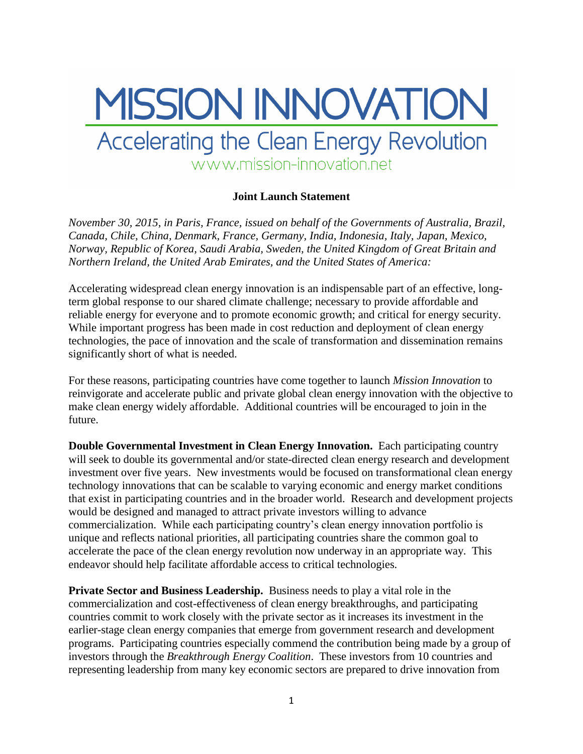## MISSION INNOVATION Accelerating the Clean Energy Revolution www.mission-innovation.net

## **Joint Launch Statement**

*November 30, 2015, in Paris, France, issued on behalf of the Governments of Australia, Brazil, Canada, Chile, China, Denmark, France, Germany, India, Indonesia, Italy, Japan, Mexico, Norway, Republic of Korea, Saudi Arabia, Sweden, the United Kingdom of Great Britain and Northern Ireland, the United Arab Emirates, and the United States of America:*

Accelerating widespread clean energy innovation is an indispensable part of an effective, longterm global response to our shared climate challenge; necessary to provide affordable and reliable energy for everyone and to promote economic growth; and critical for energy security. While important progress has been made in cost reduction and deployment of clean energy technologies, the pace of innovation and the scale of transformation and dissemination remains significantly short of what is needed.

For these reasons, participating countries have come together to launch *Mission Innovation* to reinvigorate and accelerate public and private global clean energy innovation with the objective to make clean energy widely affordable. Additional countries will be encouraged to join in the future.

**Double Governmental Investment in Clean Energy Innovation.** Each participating country will seek to double its governmental and/or state-directed clean energy research and development investment over five years. New investments would be focused on transformational clean energy technology innovations that can be scalable to varying economic and energy market conditions that exist in participating countries and in the broader world. Research and development projects would be designed and managed to attract private investors willing to advance commercialization. While each participating country's clean energy innovation portfolio is unique and reflects national priorities, all participating countries share the common goal to accelerate the pace of the clean energy revolution now underway in an appropriate way. This endeavor should help facilitate affordable access to critical technologies.

**Private Sector and Business Leadership.** Business needs to play a vital role in the commercialization and cost-effectiveness of clean energy breakthroughs, and participating countries commit to work closely with the private sector as it increases its investment in the earlier-stage clean energy companies that emerge from government research and development programs. Participating countries especially commend the contribution being made by a group of investors through the *Breakthrough Energy Coalition*. These investors from 10 countries and representing leadership from many key economic sectors are prepared to drive innovation from